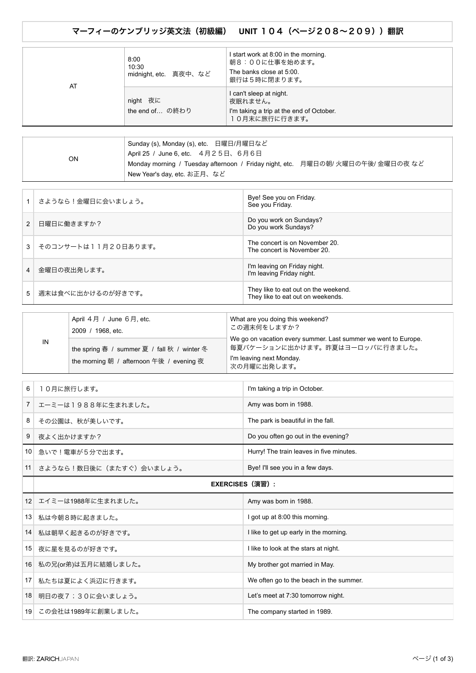マーフィーのケンブリッジ英文法(初級編) **UNIT** 104(ページ208~209))翻訳

| AT | 8:00<br>10:30<br>midnight, etc. 真夜中、など | I start work at 8:00 in the morning.<br>朝8:00に仕事を始めます。<br>The banks close at 5:00.<br>銀行は5時に閉まります。 |
|----|----------------------------------------|----------------------------------------------------------------------------------------------------|
|    | night 夜に<br>the end of の終わり            | I can't sleep at night.<br>夜眠れません。<br>I'm taking a trip at the end of October.<br>10月末に旅行に行きます。    |

|           | Sunday (s), Monday (s), etc. 日曜日/月曜日など<br>April 25 / June 6, etc. 4月25日、6月6日                                     |  |  |
|-----------|------------------------------------------------------------------------------------------------------------------|--|--|
| <b>ON</b> | Monday morning / Tuesday afternoon / Friday night, etc. 月曜日の朝/ 火曜日の午後/ 金曜日の夜 など<br>່ New Year's day, etc. お正月、など |  |  |

|                | さようなら!金曜日に会いましょう。   | Bye! See you on Friday.<br>See you Friday.                                |
|----------------|---------------------|---------------------------------------------------------------------------|
| $\mathcal{P}$  | 日曜日に働きますか?          | Do you work on Sundays?<br>Do you work Sundays?                           |
| $\mathcal{R}$  | そのコンサートは11月20日あります。 | The concert is on November 20.<br>The concert is November 20.             |
| $\overline{4}$ | 金曜日の夜出発します。         | I'm leaving on Friday night.<br>I'm leaving Friday night.                 |
| 5 <sup>1</sup> | 週末は食べに出かけるのが好きです。   | They like to eat out on the weekend.<br>They like to eat out on weekends. |

|    | April $4$ 月 / June $6$ 月, etc.<br>2009 / 1968, etc.                                     | What are you doing this weekend?<br>この週末何をしますか?                                                                                             |
|----|-----------------------------------------------------------------------------------------|---------------------------------------------------------------------------------------------------------------------------------------------|
| IN | the spring 春 / summer 夏 / fall 秋 / winter 冬<br>the morning 朝 / afternoon 午後 / evening 夜 | We go on vacation every summer. Last summer we went to Europe.<br>毎夏バケーションに出かけます。昨夏はヨーロッパに行きました。<br>I'm leaving next Monday.<br>次の月曜に出発します。 |

| 6               | 10月に旅行します。              | I'm taking a trip in October.            |
|-----------------|-------------------------|------------------------------------------|
| $\overline{7}$  | エーミーは1988年に生まれました。      | Amy was born in 1988.                    |
| 8               | その公園は、秋が美しいです。          | The park is beautiful in the fall.       |
| 9               | 夜よく出かけますか?              | Do you often go out in the evening?      |
| 10 <sup>1</sup> | 急いで!電車が5分で出ます。          | Hurry! The train leaves in five minutes. |
| 11              | さようなら!数日後に(またすぐ)会いましょう。 | Bye! I'll see you in a few days.         |
|                 | EXERCISES(演習):          |                                          |
|                 | 12 エイミーは1988年に生まれました。   | Amy was born in 1988.                    |
| 13 <sup>1</sup> | 私は今朝8時に起きました。           | I got up at 8:00 this morning.           |
|                 | 14  私は朝早く起きるのが好きです。     | I like to get up early in the morning.   |

| 15 <sup>1</sup> | 夜に星を見るのが好きです。          | I like to look at the stars at night.   |
|-----------------|------------------------|-----------------------------------------|
|                 | 16 私の兄(or弟)は五月に結婚しました。 | My brother got married in May.          |
| 17              | 私たちは夏によく浜辺に行きます。       | We often go to the beach in the summer. |
| 18 <sup>1</sup> | 明日の夜7;30に会いましょう。       | Let's meet at 7:30 tomorrow night.      |
| 19 <sup>1</sup> | この会社は1989年に創業しました。     | The company started in 1989.            |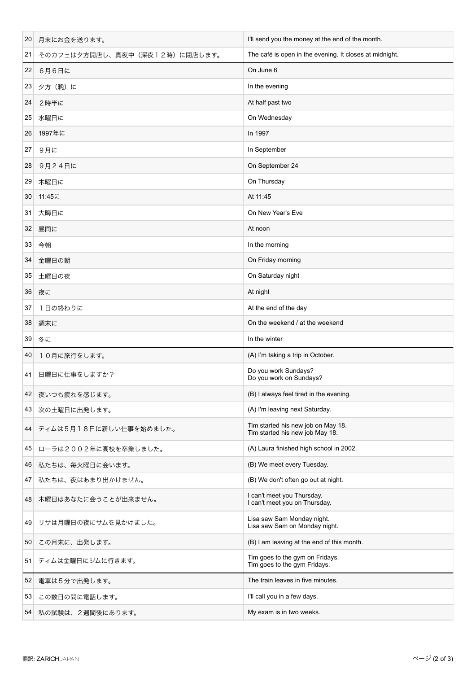| 20 | 月末にお金を送ります。                    | I'll send you the money at the end of the month.                      |
|----|--------------------------------|-----------------------------------------------------------------------|
| 21 | そのカフェは夕方開店し、真夜中 (深夜12時)に閉店します。 | The café is open in the evening. It closes at midnight.               |
| 22 | 6月6日に                          | On June 6                                                             |
| 23 | 夕方 (晩) に                       | In the evening                                                        |
| 24 | 2時半に                           | At half past two                                                      |
| 25 | 水曜日に                           | On Wednesday                                                          |
| 26 | 1997年に                         | In 1997                                                               |
| 27 | 9月に                            | In September                                                          |
| 28 | 9月24日に                         | On September 24                                                       |
| 29 | 木曜日に                           | On Thursday                                                           |
| 30 | 11:45に                         | At 11:45                                                              |
| 31 | 大晦日に                           | On New Year's Eve                                                     |
| 32 | 昼間に                            | At noon                                                               |
| 33 | 今朝                             | In the morning                                                        |
| 34 | 金曜日の朝                          | On Friday morning                                                     |
| 35 | 土曜日の夜                          | On Saturday night                                                     |
| 36 | 夜に                             | At night                                                              |
| 37 | 1日の終わりに                        | At the end of the day                                                 |
| 38 | 週末に                            | On the weekend / at the weekend                                       |
|    |                                |                                                                       |
| 39 | 冬に                             | In the winter                                                         |
| 40 | 10月に旅行をします。                    | (A) I'm taking a trip in October.                                     |
| 41 | 日曜日に仕事をしますか?                   | Do you work Sundays?<br>Do you work on Sundays?                       |
| 42 | 夜いつも疲れを感じます。                   | (B) I always feel tired in the evening.                               |
| 43 | 次の土曜日に出発します。                   | (A) I'm leaving next Saturday.                                        |
| 44 | ティムは5月18日に新しい仕事を始めました。         | Tim started his new job on May 18.<br>Tim started his new job May 18. |
| 45 | ローラは2002年に高校を卒業しました。           | (A) Laura finished high school in 2002.                               |
| 46 | 私たちは、毎火曜日に会います。                | (B) We meet every Tuesday.                                            |
| 47 | 私たちは、夜はあまり出かけません。              | (B) We don't often go out at night.                                   |
| 48 | 木曜日はあなたに会うことが出来ません。            | I can't meet you Thursday.<br>I can't meet you on Thursday.           |
| 49 | リサは月曜日の夜にサムを見かけました。            | Lisa saw Sam Monday night.<br>Lisa saw Sam on Monday night.           |
| 50 | この月末に、出発します。                   | (B) I am leaving at the end of this month.                            |
| 51 | ティムは金曜日にジムに行きます。               | Tim goes to the gym on Fridays.<br>Tim goes to the gym Fridays.       |
| 52 | 電車は5分で出発します。                   | The train leaves in five minutes.                                     |
| 53 | この数日の間に電話します。                  | I'll call you in a few days.                                          |